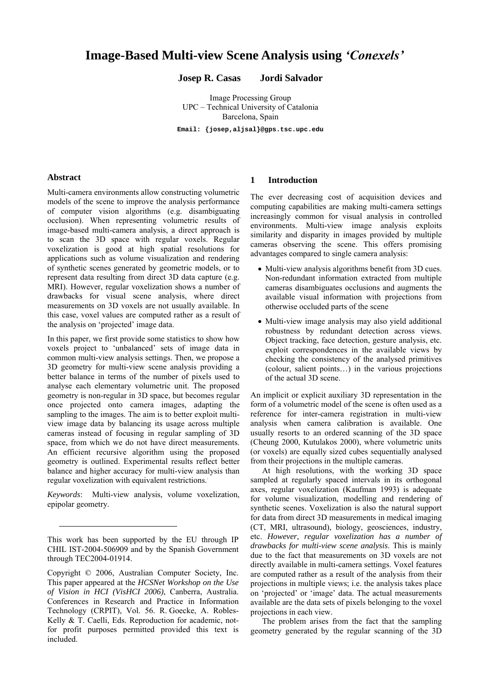# Image-Based Multi-view Scene Analysis using 'Conexels'

**Josep R. Casas Jordi Salvador** 

Image Processing Group UPC – Technical University of Catalonia Barcelona, Spain

**Email: {josep,aljsal}@gps.tsc.upc.edu**

## **Abstract**

l

Multi-camera environments allow constructing volumetric models of the scene to improve the analysis performance of computer vision algorithms (e.g. disambiguating occlusion). When representing volumetric results of image-based multi-camera analysis, a direct approach is to scan the 3D space with regular voxels. Regular voxelization is good at high spatial resolutions for applications such as volume visualization and rendering of synthetic scenes generated by geometric models, or to represent data resulting from direct 3D data capture (e.g. MRI). However, regular voxelization shows a number of drawbacks for visual scene analysis, where direct measurements on 3D voxels are not usually available. In this case, voxel values are computed rather as a result of the analysis on 'projected' image data.

In this paper, we first provide some statistics to show how voxels project to 'unbalanced' sets of image data in common multi-view analysis settings. Then, we propose a 3D geometry for multi-view scene analysis providing a better balance in terms of the number of pixels used to analyse each elementary volumetric unit. The proposed geometry is non-regular in 3D space, but becomes regular once projected onto camera images, adapting the sampling to the images. The aim is to better exploit multiview image data by balancing its usage across multiple cameras instead of focusing in regular sampling of 3D space, from which we do not have direct measurements. An efficient recursive algorithm using the proposed geometry is outlined. Experimental results reflect better balance and higher accuracy for multi-view analysis than regular voxelization with equivalent restrictions..

*Keywords*: Multi-view analysis, volume voxelization, epipolar geometry.

## **1 Introduction**

The ever decreasing cost of acquisition devices and computing capabilities are making multi-camera settings increasingly common for visual analysis in controlled environments. Multi-view image analysis exploits similarity and disparity in images provided by multiple cameras observing the scene. This offers promising advantages compared to single camera analysis:

- Multi-view analysis algorithms benefit from 3D cues. Non-redundant information extracted from multiple cameras disambiguates occlusions and augments the available visual information with projections from otherwise occluded parts of the scene
- Multi-view image analysis may also yield additional robustness by redundant detection across views. Object tracking, face detection, gesture analysis, etc. exploit correspondences in the available views by checking the consistency of the analysed primitives (colour, salient points...) in the various projections of the actual 3D scene.

An implicit or explicit auxiliary 3D representation in the form of a volumetric model of the scene is often used as a reference for inter-camera registration in multi-view analysis when camera calibration is available. One usually resorts to an ordered scanning of the 3D space (Cheung 2000, Kutulakos 2000), where volumetric units (or voxels) are equally sized cubes sequentially analysed from their projections in the multiple cameras.

At high resolutions, with the working 3D space sampled at regularly spaced intervals in its orthogonal axes, regular voxelization (Kaufman 1993) is adequate for volume visualization, modelling and rendering of synthetic scenes. Voxelization is also the natural support for data from direct 3D measurements in medical imaging (CT, MRI, ultrasound), biology, geosciences, industry, etc. *However, regular voxelization has a number of drawbacks for multi-view scene analysis*. This is mainly due to the fact that measurements on 3D voxels are not directly available in multi-camera settings. Voxel features are computed rather as a result of the analysis from their projections in multiple views; i.e. the analysis takes place on 'projected' or 'image' data. The actual measurements available are the data sets of pixels belonging to the voxel projections in each view.

The problem arises from the fact that the sampling geometry generated by the regular scanning of the 3D

This work has been supported by the EU through IP CHIL IST-2004-506909 and by the Spanish Government through TEC2004-01914.

Copyright © 2006, Australian Computer Society, Inc. This paper appeared at the *HCSNet Workshop on the Use of Vision in HCI (VisHCI 2006)*, Canberra, Australia. Conferences in Research and Practice in Information Technology (CRPIT), Vol. 56. R. Goecke, A. Robles-Kelly & T. Caelli, Eds. Reproduction for academic, notfor profit purposes permitted provided this text is included.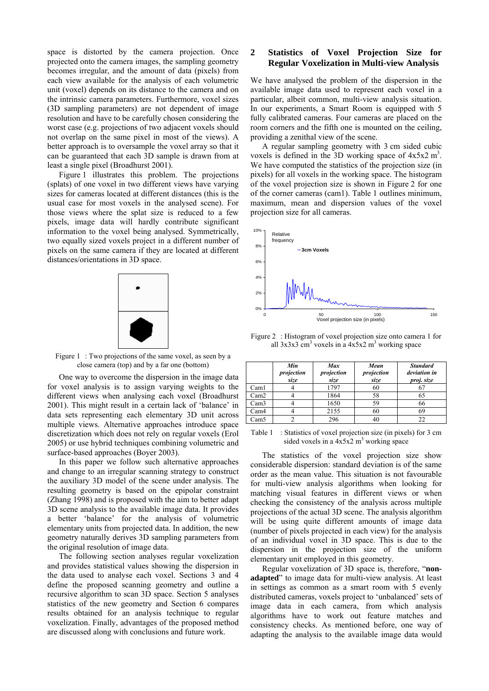space is distorted by the camera projection. Once projected onto the camera images, the sampling geometry becomes irregular, and the amount of data (pixels) from each view available for the analysis of each volumetric unit (voxel) depends on its distance to the camera and on the intrinsic camera parameters. Furthermore, voxel sizes (3D sampling parameters) are not dependent of image resolution and have to be carefully chosen considering the worst case (e.g. projections of two adjacent voxels should not overlap on the same pixel in most of the views). A better approach is to oversample the voxel array so that it can be guaranteed that each 3D sample is drawn from at least a single pixel (Broadhurst 2001).

Figure 1 illustrates this problem. The projections (splats) of one voxel in two different views have varying sizes for cameras located at different distances (this is the usual case for most voxels in the analysed scene). For those views where the splat size is reduced to a few pixels, image data will hardly contribute significant information to the voxel being analysed. Symmetrically, two equally sized voxels project in a different number of pixels on the same camera if they are located at different distances/orientations in 3D space.



Figure 1: Two projections of the same voxel, as seen by a close camera (top) and by a far one (bottom)

One way to overcome the dispersion in the image data for voxel analysis is to assign varying weights to the different views when analysing each voxel (Broadhurst 2001). This might result in a certain lack of 'balance' in data sets representing each elementary 3D unit across multiple views. Alternative approaches introduce space discretization which does not rely on regular voxels (Erol 2005) or use hybrid techniques combining volumetric and surface-based approaches (Boyer 2003).

In this paper we follow such alternative approaches and change to an irregular scanning strategy to construct the auxiliary 3D model of the scene under analysis. The resulting geometry is based on the epipolar constraint (Zhang 1998) and is proposed with the aim to better adapt 3D scene analysis to the available image data. It provides a better 'balance' for the analysis of volumetric elementary units from projected data. In addition, the new geometry naturally derives 3D sampling parameters from the original resolution of image data.

The following section analyses regular voxelization and provides statistical values showing the dispersion in the data used to analyse each voxel. Sections 3 and 4 define the proposed scanning geometry and outline a recursive algorithm to scan 3D space. Section 5 analyses statistics of the new geometry and Section 6 compares results obtained for an analysis technique to regular voxelization. Finally, advantages of the proposed method are discussed along with conclusions and future work.

# **2 Statistics of Voxel Projection Size for Regular Voxelization in Multi-view Analysis**

We have analysed the problem of the dispersion in the available image data used to represent each voxel in a particular, albeit common, multi-view analysis situation. In our experiments, a Smart Room is equipped with 5 fully calibrated cameras. Four cameras are placed on the room corners and the fifth one is mounted on the ceiling, providing a zenithal view of the scene.

A regular sampling geometry with 3 cm sided cubic voxels is defined in the  $3D$  working space of  $4x5x2 \text{ m}^3$ . We have computed the statistics of the projection size (in pixels) for all voxels in the working space. The histogram of the voxel projection size is shown in Figure 2 for one of the corner cameras (cam1). Table 1 outlines minimum, maximum, mean and dispersion values of the voxel projection size for all cameras.



Figure 2 : Histogram of voxel projection size onto camera 1 for all  $3x3x3$  cm<sup>3</sup> voxels in a  $4x5x2$  m<sup>3</sup> working space

|      | Min<br>projection<br>size | <b>Max</b><br>projection<br>size | Mean<br>projection<br>size | <b>Standard</b><br>deviation in<br>proj. size |
|------|---------------------------|----------------------------------|----------------------------|-----------------------------------------------|
| Caml |                           | 1797                             | 60                         |                                               |
| Cam2 |                           | 1864                             | 58                         | 65                                            |
| Cam3 |                           | 1650                             | 59                         | 66                                            |
| Cam4 |                           | 2155                             | 60                         | 69                                            |
| Cam5 |                           | 296                              | 40                         | 22                                            |

Table 1 : Statistics of voxel projection size (in pixels) for 3 cm sided voxels in a  $4x5x^2$  m<sup>3</sup> working space

The statistics of the voxel projection size show considerable dispersion: standard deviation is of the same order as the mean value. This situation is not favourable for multi-view analysis algorithms when looking for matching visual features in different views or when checking the consistency of the analysis across multiple projections of the actual 3D scene. The analysis algorithm will be using quite different amounts of image data (number of pixels projected in each view) for the analysis of an individual voxel in 3D space. This is due to the dispersion in the projection size of the uniform elementary unit employed in this geometry.

Regular voxelization of 3D space is, therefore, "nonadapted" to image data for multi-view analysis. At least in settings as common as a smart room with 5 evenly distributed cameras, voxels project to 'unbalanced' sets of image data in each camera, from which analysis algorithms have to work out feature matches and consistency checks. As mentioned before, one way of adapting the analysis to the available image data would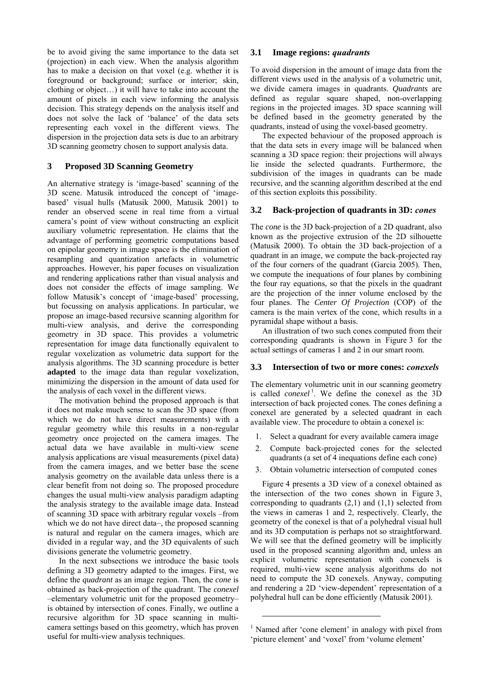be to avoid giving the same importance to the data set (projection) in each view. When the analysis algorithm has to make a decision on that voxel (e.g. whether it is foreground or background; surface or interior; skin, clothing or object $\ldots$ ) it will have to take into account the amount of pixels in each view informing the analysis decision. This strategy depends on the analysis itself and does not solve the lack of 'balance' of the data sets representing each voxel in the different views. The dispersion in the projection data sets is due to an arbitrary 3D scanning geometry chosen to support analysis data.

# **3 Proposed 3D Scanning Geometry**

An alternative strategy is 'image-based' scanning of the 3D scene. Matusik introduced the concept of ëimagebased' visual hulls (Matusik 2000, Matusik 2001) to render an observed scene in real time from a virtual camera's point of view without constructing an explicit auxiliary volumetric representation. He claims that the advantage of performing geometric computations based on epipolar geometry in image space is the elimination of resampling and quantization artefacts in volumetric approaches. However, his paper focuses on visualization and rendering applications rather than visual analysis and does not consider the effects of image sampling. We follow Matusik's concept of 'image-based' processing, but focussing on analysis applications. In particular, we propose an image-based recursive scanning algorithm for multi-view analysis, and derive the corresponding geometry in 3D space. This provides a volumetric representation for image data functionally equivalent to regular voxelization as volumetric data support for the analysis algorithms. The 3D scanning procedure is better **adapted** to the image data than regular voxelization, minimizing the dispersion in the amount of data used for the analysis of each voxel in the different views.

The motivation behind the proposed approach is that it does not make much sense to scan the 3D space (from which we do not have direct measurements) with a regular geometry while this results in a non-regular geometry once projected on the camera images. The actual data we have available in multi-view scene analysis applications are visual measurements (pixel data) from the camera images, and we better base the scene analysis geometry on the available data unless there is a clear benefit from not doing so. The proposed procedure changes the usual multi-view analysis paradigm adapting the analysis strategy to the available image data. Instead of scanning 3D space with arbitrary regular voxels –from which we do not have direct data–, the proposed scanning is natural and regular on the camera images, which are divided in a regular way, and the 3D equivalents of such divisions generate the volumetric geometry.

In the next subsections we introduce the basic tools defining a 3D geometry adapted to the images. First, we define the *quadrant* as an image region. Then, the *cone* is obtained as back-projection of the quadrant. The *conexel* -elementary volumetric unit for the proposed geometryis obtained by intersection of cones. Finally, we outline a recursive algorithm for 3D space scanning in multicamera settings based on this geometry, which has proven useful for multi-view analysis techniques.

# **3.1 Image regions:** *quadrants*

To avoid dispersion in the amount of image data from the different views used in the analysis of a volumetric unit, we divide camera images in quadrants. *Quadrants* are defined as regular square shaped, non-overlapping regions in the projected images. 3D space scanning will be defined based in the geometry generated by the quadrants, instead of using the voxel-based geometry.

The expected behaviour of the proposed approach is that the data sets in every image will be balanced when scanning a 3D space region: their projections will always lie inside the selected quadrants. Furthermore, the subdivision of the images in quadrants can be made recursive, and the scanning algorithm described at the end of this section exploits this possibility.

## **3.2 Back-projection of quadrants in 3D:** *cones*

The *cone* is the 3D back-projection of a 2D quadrant, also known as the projective extrusion of the 2D silhouette (Matusik 2000). To obtain the 3D back-projection of a quadrant in an image, we compute the back-projected ray of the four corners of the quadrant (Garcia 2005). Then, we compute the inequations of four planes by combining the four ray equations, so that the pixels in the quadrant are the projection of the inner volume enclosed by the four planes. The *Center Of Projection* (COP) of the camera is the main vertex of the cone, which results in a pyramidal shape without a basis.

An illustration of two such cones computed from their corresponding quadrants is shown in Figure 3 for the actual settings of cameras 1 and 2 in our smart room.

#### **3.3 Intersection of two or more cones:** *conexels*

The elementary volumetric unit in our scanning geometry is called *conexel*<sup>1</sup>. We define the conexel as the 3D intersection of back projected cones. The cones defining a conexel are generated by a selected quadrant in each available view. The procedure to obtain a conexel is:

- 1. Select a quadrant for every available camera image
- 2. Compute back-projected cones for the selected quadrants (a set of 4 inequations define each cone)
- 3. Obtain volumetric intersection of computed cones

Figure 4 presents a 3D view of a conexel obtained as the intersection of the two cones shown in Figure 3, corresponding to quadrants  $(2,1)$  and  $(1,1)$  selected from the views in cameras 1 and 2, respectively. Clearly, the geometry of the conexel is that of a polyhedral visual hull and its 3D computation is perhaps not so straightforward. We will see that the defined geometry will be implicitly used in the proposed scanning algorithm and, unless an explicit volumetric representation with conexels is required, multi-view scene analysis algorithms do not need to compute the 3D conexels. Anyway, computing and rendering a 2D 'view-dependent' representation of a polyhedral hull can be done efficiently (Matusik 2001).

l

<sup>&</sup>lt;sup>1</sup> Named after 'cone element' in analogy with pixel from 'picture element' and 'voxel' from 'volume element'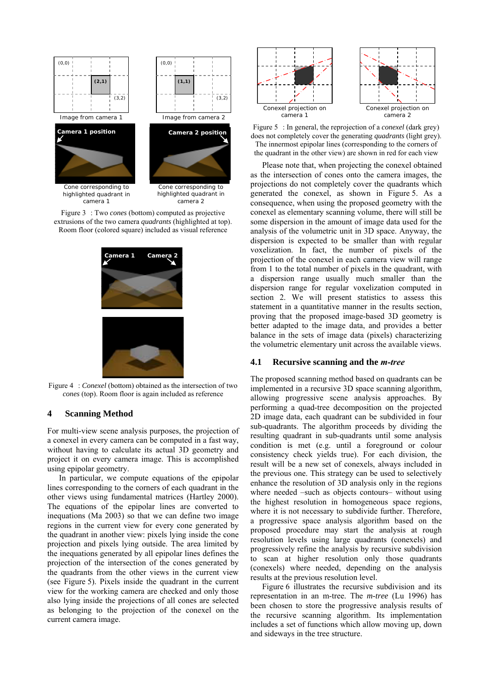



highlighted quadrant in camera 2





Figure 4 : *Conexel* (bottom) obtained as the intersection of two *cones* (top). Room floor is again included as reference

## **4 Scanning Method**

For multi-view scene analysis purposes, the projection of a conexel in every camera can be computed in a fast way, without having to calculate its actual 3D geometry and project it on every camera image. This is accomplished using epipolar geometry.

In particular, we compute equations of the epipolar lines corresponding to the corners of each quadrant in the other views using fundamental matrices (Hartley 2000). The equations of the epipolar lines are converted to inequations (Ma 2003) so that we can define two image regions in the current view for every cone generated by the quadrant in another view: pixels lying inside the cone projection and pixels lying outside. The area limited by the inequations generated by all epipolar lines defines the projection of the intersection of the cones generated by the quadrants from the other views in the current view (see Figure 5). Pixels inside the quadrant in the current view for the working camera are checked and only those also lying inside the projections of all cones are selected as belonging to the projection of the conexel on the current camera image.



Figure 5 : In general, the reprojection of a *conexel* (dark grey) does not completely cover the generating *quadrants* (light grey). The innermost epipolar lines (corresponding to the corners of the quadrant in the other view) are shown in red for each view

Please note that, when projecting the conexel obtained as the intersection of cones onto the camera images, the projections do not completely cover the quadrants which generated the conexel, as shown in Figure 5. As a consequence, when using the proposed geometry with the conexel as elementary scanning volume, there will still be some dispersion in the amount of image data used for the analysis of the volumetric unit in 3D space. Anyway, the dispersion is expected to be smaller than with regular voxelization. In fact, the number of pixels of the projection of the conexel in each camera view will range from 1 to the total number of pixels in the quadrant, with a dispersion range usually much smaller than the dispersion range for regular voxelization computed in section 2. We will present statistics to assess this statement in a quantitative manner in the results section, proving that the proposed image-based 3D geometry is better adapted to the image data, and provides a better balance in the sets of image data (pixels) characterizing the volumetric elementary unit across the available views.

#### **4.1 Recursive scanning and the** *m-tree*

The proposed scanning method based on quadrants can be implemented in a recursive 3D space scanning algorithm, allowing progressive scene analysis approaches. By performing a quad-tree decomposition on the projected 2D image data, each quadrant can be subdivided in four sub-quadrants. The algorithm proceeds by dividing the resulting quadrant in sub-quadrants until some analysis condition is met (e.g. until a foreground or colour consistency check yields true). For each division, the result will be a new set of conexels, always included in the previous one. This strategy can be used to selectively enhance the resolution of 3D analysis only in the regions where needed  $-such$  as objects contours– without using the highest resolution in homogeneous space regions, where it is not necessary to subdivide further. Therefore, a progressive space analysis algorithm based on the proposed procedure may start the analysis at rough resolution levels using large quadrants (conexels) and progressively refine the analysis by recursive subdivision to scan at higher resolution only those quadrants (conexels) where needed, depending on the analysis results at the previous resolution level.

Figure 6 illustrates the recursive subdivision and its representation in an m-tree. The *m-tree* (Lu 1996) has been chosen to store the progressive analysis results of the recursive scanning algorithm. Its implementation includes a set of functions which allow moving up, down and sideways in the tree structure.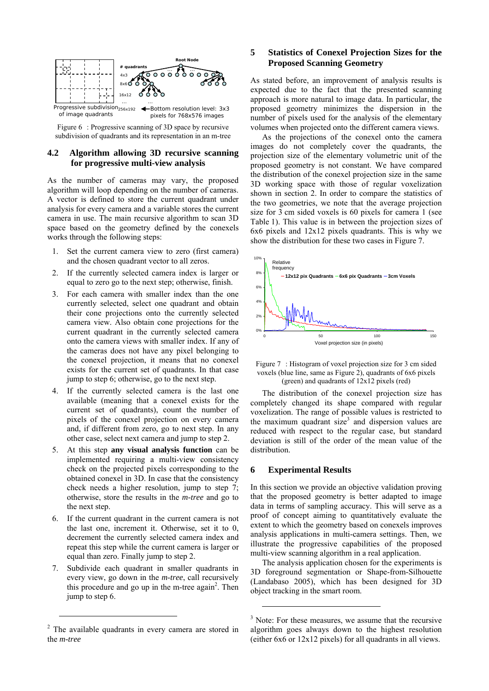

Figure 6 : Progressive scanning of 3D space by recursive subdivision of quadrants and its representation in an m-tree

# **4.2 Algorithm allowing 3D recursive scanning for progressive multi-view analysis**

As the number of cameras may vary, the proposed algorithm will loop depending on the number of cameras. A vector is defined to store the current quadrant under analysis for every camera and a variable stores the current camera in use. The main recursive algorithm to scan 3D space based on the geometry defined by the conexels works through the following steps:

- 1. Set the current camera view to zero (first camera) and the chosen quadrant vector to all zeros.
- 2. If the currently selected camera index is larger or equal to zero go to the next step; otherwise, finish.
- 3. For each camera with smaller index than the one currently selected, select one quadrant and obtain their cone projections onto the currently selected camera view. Also obtain cone projections for the current quadrant in the currently selected camera onto the camera views with smaller index. If any of the cameras does not have any pixel belonging to the conexel projection, it means that no conexel exists for the current set of quadrants. In that case jump to step 6; otherwise, go to the next step.
- 4. If the currently selected camera is the last one available (meaning that a conexel exists for the current set of quadrants), count the number of pixels of the conexel projection on every camera and, if different from zero, go to next step. In any other case, select next camera and jump to step 2.
- 5. At this step **any visual analysis function** can be implemented requiring a multi-view consistency check on the projected pixels corresponding to the obtained conexel in 3D. In case that the consistency check needs a higher resolution, jump to step 7; otherwise, store the results in the *m-tree* and go to the next step.
- 6. If the current quadrant in the current camera is not the last one, increment it. Otherwise, set it to 0, decrement the currently selected camera index and repeat this step while the current camera is larger or equal than zero. Finally jump to step 2.
- 7. Subdivide each quadrant in smaller quadrants in every view, go down in the *m-tree*, call recursively this procedure and go up in the m-tree again<sup>2</sup>. Then jump to step 6.

l

# **5 Statistics of Conexel Projection Sizes for the Proposed Scanning Geometry**

As stated before, an improvement of analysis results is expected due to the fact that the presented scanning approach is more natural to image data. In particular, the proposed geometry minimizes the dispersion in the number of pixels used for the analysis of the elementary volumes when projected onto the different camera views.

As the projections of the conexel onto the camera images do not completely cover the quadrants, the projection size of the elementary volumetric unit of the proposed geometry is not constant. We have compared the distribution of the conexel projection size in the same 3D working space with those of regular voxelization shown in section 2. In order to compare the statistics of the two geometries, we note that the average projection size for 3 cm sided voxels is 60 pixels for camera 1 (see Table 1). This value is in between the projection sizes of 6x6 pixels and 12x12 pixels quadrants. This is why we show the distribution for these two cases in Figure 7.



Figure 7 : Histogram of voxel projection size for 3 cm sided voxels (blue line, same as Figure 2), quadrants of 6x6 pixels (green) and quadrants of  $12x12$  pixels (red)

The distribution of the conexel projection size has completely changed its shape compared with regular voxelization. The range of possible values is restricted to the maximum quadrant size<sup>3</sup> and dispersion values are reduced with respect to the regular case, but standard deviation is still of the order of the mean value of the distribution.

#### **6 Experimental Results**

l

In this section we provide an objective validation proving that the proposed geometry is better adapted to image data in terms of sampling accuracy. This will serve as a proof of concept aiming to quantitatively evaluate the extent to which the geometry based on conexels improves analysis applications in multi-camera settings. Then, we illustrate the progressive capabilities of the proposed multi-view scanning algorithm in a real application.

The analysis application chosen for the experiments is 3D foreground segmentation or Shape-from-Silhouette (Landabaso 2005), which has been designed for 3D object tracking in the smart room.

<sup>&</sup>lt;sup>2</sup> The available quadrants in every camera are stored in the *m-tree*

<sup>&</sup>lt;sup>3</sup> Note: For these measures, we assume that the recursive algorithm goes always down to the highest resolution (either 6x6 or 12x12 pixels) for all quadrants in all views.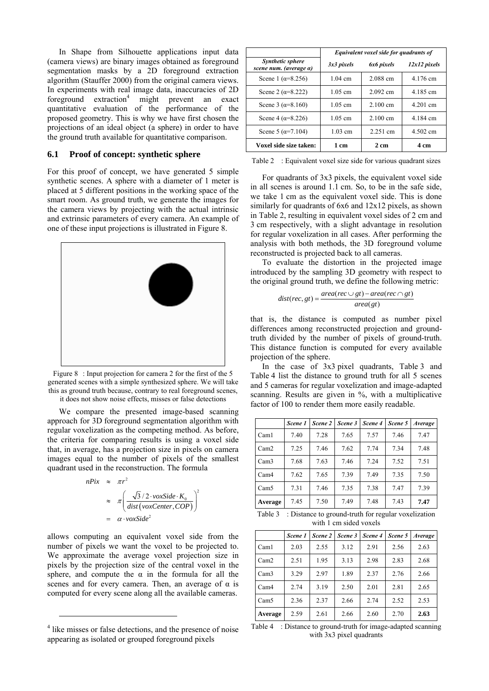In Shape from Silhouette applications input data (camera views) are binary images obtained as foreground segmentation masks by a 2D foreground extraction algorithm (Stauffer 2000) from the original camera views. In experiments with real image data, inaccuracies of 2D foreground extraction<sup>4</sup> might prevent an exact quantitative evaluation of the performance of the proposed geometry. This is why we have first chosen the projections of an ideal object (a sphere) in order to have the ground truth available for quantitative comparison.

## **6.1 Proof of concept: synthetic sphere**

For this proof of concept, we have generated 5 simple synthetic scenes. A sphere with a diameter of 1 meter is placed at 5 different positions in the working space of the smart room. As ground truth, we generate the images for the camera views by projecting with the actual intrinsic and extrinsic parameters of every camera. An example of one of these input projections is illustrated in Figure 8.



Figure 8: Input projection for camera 2 for the first of the 5 generated scenes with a simple synthesized sphere. We will take this as ground truth because, contrary to real foreground scenes, it does not show noise effects, misses or false detections

We compare the presented image-based scanning approach for 3D foreground segmentation algorithm with regular voxelization as the competing method. As before, the criteria for comparing results is using a voxel side that, in average, has a projection size in pixels on camera images equal to the number of pixels of the smallest quadrant used in the reconstruction. The formula

$$
n\text{Fix} \approx \pi r^2
$$
\n
$$
\approx \pi \left( \frac{\sqrt{3}/2 \cdot \text{voxSide} \cdot K_0}{\text{dist}(\text{voxCenter}, \text{COP})} \right)^2
$$
\n
$$
= \alpha \cdot \text{voxSide}^2
$$

allows computing an equivalent voxel side from the number of pixels we want the voxel to be projected to. We approximate the average voxel projection size in pixels by the projection size of the central voxel in the sphere, and compute the  $\alpha$  in the formula for all the scenes and for every camera. Then, an average of  $\alpha$  is computed for every scene along all the available cameras.

l

|                                                   | Equivalent voxel side for quadrants of |                    |                |  |  |  |
|---------------------------------------------------|----------------------------------------|--------------------|----------------|--|--|--|
| <b>Synthetic sphere</b><br>scene num. (average a) | 3x3 pixels                             | 6x6 pixels         | $12x12$ pixels |  |  |  |
| Scene 1 ( $\alpha = 8.256$ )                      | $1.04 \text{ cm}$                      | 2.088 cm           | 4.176 cm       |  |  |  |
| Scene 2 ( $\alpha = 8.222$ )                      | $1.05$ cm                              | $2.092$ cm         | 4 185 cm       |  |  |  |
| Scene 3 ( $\alpha = 8.160$ )                      | $1.05$ cm                              | $2.100 \text{ cm}$ | 4.201 cm       |  |  |  |
| Scene 4 ( $\alpha = 8.226$ )                      | $1.05$ cm                              | $2.100 \text{ cm}$ | 4.184 cm       |  |  |  |
| Scene 5 ( $\alpha$ =7.104)                        | $1.03$ cm                              | 2.251 cm           | 4.502 cm       |  |  |  |
| Voxel side size taken:                            | $1 \text{ cm}$                         | $2 \text{ cm}$     | 4 cm           |  |  |  |

Table 2 : Equivalent voxel size side for various quadrant sizes

For quadrants of 3x3 pixels, the equivalent voxel side in all scenes is around 1.1 cm. So, to be in the safe side, we take 1 cm as the equivalent voxel side. This is done similarly for quadrants of 6x6 and 12x12 pixels, as shown in Table 2, resulting in equivalent voxel sides of 2 cm and 3 cm respectively, with a slight advantage in resolution for regular voxelization in all cases. After performing the analysis with both methods, the 3D foreground volume reconstructed is projected back to all cameras.

To evaluate the distortion in the projected image introduced by the sampling 3D geometry with respect to the original ground truth, we define the following metric:

$$
dist(rec, gt) = \frac{area(rec \cup gt) - area(rec \cap gt)}{area(gt)}
$$

that is, the distance is computed as number pixel differences among reconstructed projection and groundtruth divided by the number of pixels of ground-truth. This distance function is computed for every available projection of the sphere.

In the case of 3x3 pixel quadrants, Table 3 and Table 4 list the distance to ground truth for all 5 scenes and 5 cameras for regular voxelization and image-adapted scanning. Results are given in %, with a multiplicative factor of 100 to render them more easily readable.

|                  | Scene 1 | Scene 2 | Scene 3 | Scene 4 | Scene 5 | Average |
|------------------|---------|---------|---------|---------|---------|---------|
| Cam <sub>1</sub> | 7.40    | 7.28    | 7.65    | 7.57    | 7.46    | 7.47    |
| Cam2             | 7.25    | 7.46    | 7.62    | 7.74    | 7.34    | 7.48    |
| Cam3             | 7.68    | 7.63    | 7.46    | 7.24    | 7.52    | 7.51    |
| Cam4             | 7.62    | 7.65    | 7.39    | 7.49    | 7.35    | 7.50    |
| Cam 5            | 7.31    | 7.46    | 7.35    | 7.38    | 7.47    | 7.39    |
| Average          | 7.45    | 7.50    | 7.49    | 7.48    | 7.43    | 7.47    |

Table 3 : Distance to ground-truth for regular voxelization with 1 cm sided voxels

|         | Scene 1 | Scene 2 | Scene 3 | Scene 4 | Scene 5 | Average |
|---------|---------|---------|---------|---------|---------|---------|
| Caml    | 2.03    | 2.55    | 3.12    | 2.91    | 2.56    | 2.63    |
| Cam2    | 2.51    | 1.95    | 3.13    | 2.98    | 2.83    | 2.68    |
| Cam3    | 3.29    | 2.97    | 1.89    | 2.37    | 2.76    | 2.66    |
| Cam4    | 2.74    | 3.19    | 2.50    | 2.01    | 2.81    | 2.65    |
| Cam 5   | 2.36    | 2.37    | 2.66    | 2.74    | 2.52    | 2.53    |
| Average | 2.59    | 2.61    | 2.66    | 2.60    | 2.70    | 2.63    |

Table 4 : Distance to ground-truth for image-adapted scanning with 3x3 pixel quadrants

<sup>&</sup>lt;sup>4</sup> like misses or false detections, and the presence of noise appearing as isolated or grouped foreground pixels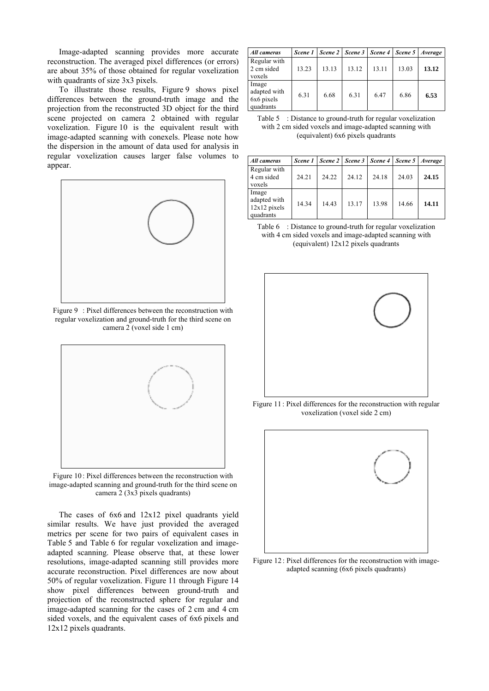Image-adapted scanning provides more accurate reconstruction. The averaged pixel differences (or errors) are about 35% of those obtained for regular voxelization with quadrants of size 3x3 pixels.

To illustrate those results, Figure 9 shows pixel differences between the ground-truth image and the projection from the reconstructed 3D object for the third scene projected on camera 2 obtained with regular voxelization. Figure 10 is the equivalent result with image-adapted scanning with conexels. Please note how the dispersion in the amount of data used for analysis in regular voxelization causes larger false volumes to appear.



Figure 9 : Pixel differences between the reconstruction with regular voxelization and ground-truth for the third scene on camera 2 (voxel side 1 cm)



Figure 10 : Pixel differences between the reconstruction with image-adapted scanning and ground-truth for the third scene on camera 2 (3x3 pixels quadrants)

The cases of 6x6 and 12x12 pixel quadrants yield similar results. We have just provided the averaged metrics per scene for two pairs of equivalent cases in Table 5 and Table 6 for regular voxelization and imageadapted scanning. Please observe that, at these lower resolutions, image-adapted scanning still provides more accurate reconstruction. Pixel differences are now about 50% of regular voxelization. Figure 11 through Figure 14 show pixel differences between ground-truth and projection of the reconstructed sphere for regular and image-adapted scanning for the cases of 2 cm and 4 cm sided voxels, and the equivalent cases of 6x6 pixels and 12x12 pixels quadrants.

| All cameras                                      | Scene 1 |       |       |       | Scene 2   Scene 3   Scene 4   Scene 5   Average |       |
|--------------------------------------------------|---------|-------|-------|-------|-------------------------------------------------|-------|
| Regular with<br>2 cm sided<br>voxels             | 13.23   | 13.13 | 13.12 | 13.11 | 13.03                                           | 13.12 |
| Image<br>adapted with<br>6x6 pixels<br>quadrants | 6.31    | 6.68  | 6.31  | 6.47  | 6.86                                            | 6.53  |

Table 5 : Distance to ground-truth for regular voxelization with 2 cm sided voxels and image-adapted scanning with (equivalent) 6x6 pixels quadrants

| All cameras                                          |       |       | Scene 1   Scene 2   Scene 3   Scene 4   Scene 5   Average |       |       |       |
|------------------------------------------------------|-------|-------|-----------------------------------------------------------|-------|-------|-------|
| Regular with<br>4 cm sided<br>voxels                 | 24.21 | 24.22 | 24.12                                                     | 24.18 | 24.03 | 24.15 |
| Image<br>adapted with<br>$12x12$ pixels<br>quadrants | 14.34 | 14.43 | 13.17                                                     | 13.98 | 14.66 | 14.11 |

Table 6 : Distance to ground-truth for regular voxelization with 4 cm sided voxels and image-adapted scanning with (equivalent) 12x12 pixels quadrants



Figure 11 : Pixel differences for the reconstruction with regular voxelization (voxel side 2 cm)



Figure 12 : Pixel differences for the reconstruction with imageadapted scanning (6x6 pixels quadrants)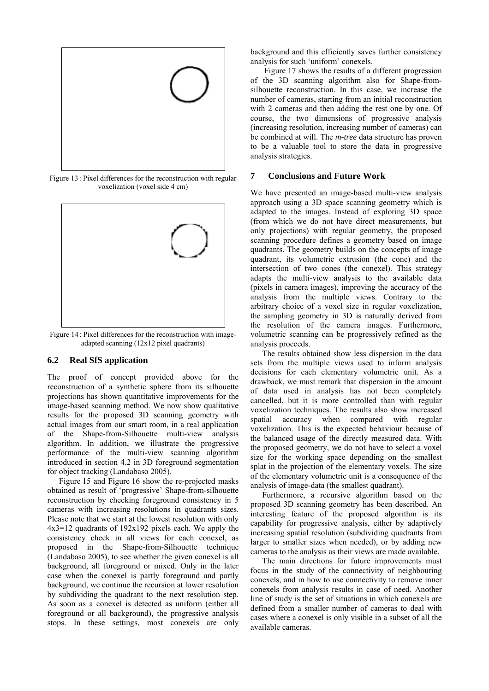

Figure 13 : Pixel differences for the reconstruction with regular voxelization (voxel side 4 cm)



Figure 14 : Pixel differences for the reconstruction with imageadapted scanning (12x12 pixel quadrants)

# **6.2 Real SfS application**

The proof of concept provided above for the reconstruction of a synthetic sphere from its silhouette projections has shown quantitative improvements for the image-based scanning method. We now show qualitative results for the proposed 3D scanning geometry with actual images from our smart room, in a real application of the Shape-from-Silhouette multi-view analysis algorithm. In addition, we illustrate the progressive performance of the multi-view scanning algorithm introduced in section 4.2 in 3D foreground segmentation for object tracking (Landabaso 2005).

Figure 15 and Figure 16 show the re-projected masks obtained as result of 'progressive' Shape-from-silhouette reconstruction by checking foreground consistency in 5 cameras with increasing resolutions in quadrants sizes. Please note that we start at the lowest resolution with only 4x3=12 quadrants of 192x192 pixels each. We apply the consistency check in all views for each conexel, as proposed in the Shape-from-Silhouette technique (Landabaso 2005), to see whether the given conexel is all background, all foreground or mixed. Only in the later case when the conexel is partly foreground and partly background, we continue the recursion at lower resolution by subdividing the quadrant to the next resolution step. As soon as a conexel is detected as uniform (either all foreground or all background), the progressive analysis stops. In these settings, most conexels are only

background and this efficiently saves further consistency analysis for such 'uniform' conexels.

 Figure 17 shows the results of a different progression of the 3D scanning algorithm also for Shape-fromsilhouette reconstruction. In this case, we increase the number of cameras, starting from an initial reconstruction with 2 cameras and then adding the rest one by one. Of course, the two dimensions of progressive analysis (increasing resolution, increasing number of cameras) can be combined at will. The *m-tree* data structure has proven to be a valuable tool to store the data in progressive analysis strategies.

## **7 Conclusions and Future Work**

We have presented an image-based multi-view analysis approach using a 3D space scanning geometry which is adapted to the images. Instead of exploring 3D space (from which we do not have direct measurements, but only projections) with regular geometry, the proposed scanning procedure defines a geometry based on image quadrants. The geometry builds on the concepts of image quadrant, its volumetric extrusion (the cone) and the intersection of two cones (the conexel). This strategy adapts the multi-view analysis to the available data (pixels in camera images), improving the accuracy of the analysis from the multiple views. Contrary to the arbitrary choice of a voxel size in regular voxelization, the sampling geometry in 3D is naturally derived from the resolution of the camera images. Furthermore, volumetric scanning can be progressively refined as the analysis proceeds.

The results obtained show less dispersion in the data sets from the multiple views used to inform analysis decisions for each elementary volumetric unit. As a drawback, we must remark that dispersion in the amount of data used in analysis has not been completely cancelled, but it is more controlled than with regular voxelization techniques. The results also show increased spatial accuracy when compared with regular voxelization. This is the expected behaviour because of the balanced usage of the directly measured data. With the proposed geometry, we do not have to select a voxel size for the working space depending on the smallest splat in the projection of the elementary voxels. The size of the elementary volumetric unit is a consequence of the analysis of image-data (the smallest quadrant).

Furthermore, a recursive algorithm based on the proposed 3D scanning geometry has been described. An interesting feature of the proposed algorithm is its capability for progressive analysis, either by adaptively increasing spatial resolution (subdividing quadrants from larger to smaller sizes when needed), or by adding new cameras to the analysis as their views are made available.

The main directions for future improvements must focus in the study of the connectivity of neighbouring conexels, and in how to use connectivity to remove inner conexels from analysis results in case of need. Another line of study is the set of situations in which conexels are defined from a smaller number of cameras to deal with cases where a conexel is only visible in a subset of all the available cameras.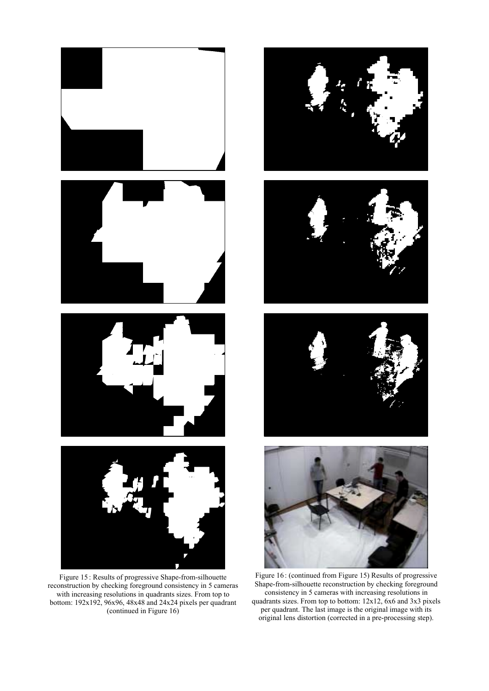

Figure 15 : Results of progressive Shape-from-silhouette reconstruction by checking foreground consistency in 5 cameras with increasing resolutions in quadrants sizes. From top to bottom: 192x192, 96x96, 48x48 and 24x24 pixels per quadrant (continued in Figure 16)









Figure 16 : (continued from Figure 15) Results of progressive Shape-from-silhouette reconstruction by checking foreground consistency in 5 cameras with increasing resolutions in quadrants sizes. From top to bottom: 12x12, 6x6 and 3x3 pixels per quadrant. The last image is the original image with its original lens distortion (corrected in a pre-processing step).